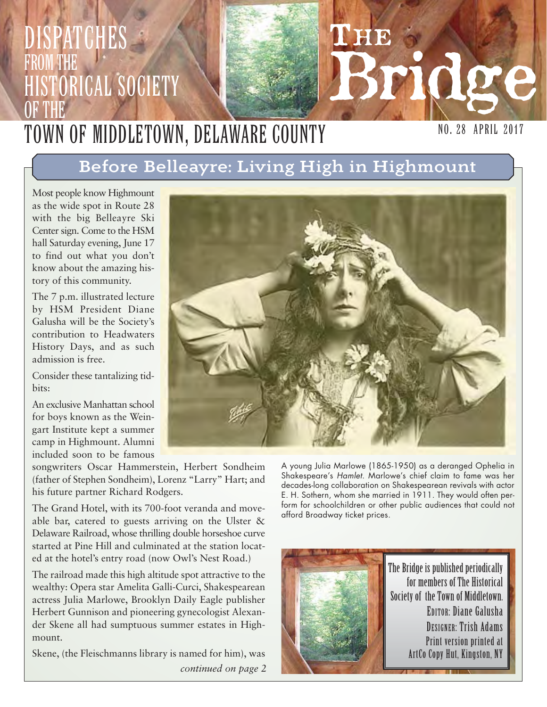## **L'HE** Bridge NO. 28 APRIL 2017 PATCHES from the **HISTORICAL SOCIETY** OF THE Town of Middletown, Delaware County

# Before Belleayre: Living High in Highmount

Most people know Highmount as the wide spot in Route 28 with the big Belleayre Ski Center sign. Come to the HSM hall Saturday evening, June 17 to find out what you don't know about the amazing history of this community.

The 7 p.m. illustrated lecture by HSM President Diane Galusha will be the Society's contribution to Headwaters History Days, and as such admission is free.

Consider these tantalizing tidbits:

An exclusive Manhattan school for boys known as the Weingart Institute kept a summer camp in Highmount. Alumni included soon to be famous

songwriters Oscar Hammerstein, Herbert Sondheim (father of Stephen Sondheim), Lorenz "Larry" Hart; and his future partner Richard Rodgers.

The Grand Hotel, with its 700-foot veranda and moveable bar, catered to guests arriving on the Ulster & Delaware Railroad, whose thrilling double horseshoe curve started at Pine Hill and culminated at the station located at the hotel's entry road (now Owl's Nest Road.)

The railroad made this high altitude spot attractive to the wealthy: Opera star Amelita Galli-Curci, Shakespearean actress Julia Marlowe, Brooklyn Daily Eagle publisher Herbert Gunnison and pioneering gynecologist Alexander Skene all had sumptuous summer estates in Highmount.

Skene, (the Fleischmanns library is named for him), was *continued on page 2*



A young Julia Marlowe (1865-1950) as a deranged Ophelia in Shakespeare's Hamlet. Marlowe's chief claim to fame was her decades-long collaboration on Shakespearean revivals with actor E. H. Sothern, whom she married in 1911. They would often perform for schoolchildren or other public audiences that could not afford Broadway ticket prices.



The Bridge is published periodically for members of The Historical Society of the Town of Middletown. EDITOR: Diane Galusha DESIGNER: Trish Adams Print version printed at ArtCo Copy Hut, Kingston, NY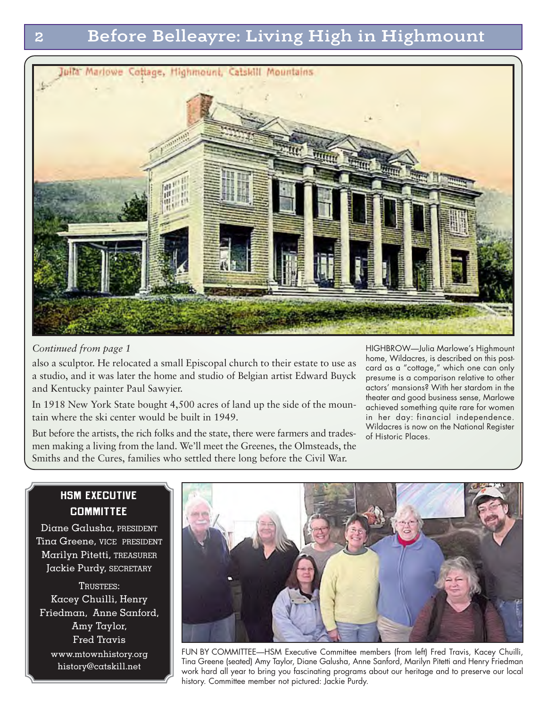

*Continued from page 1*

also a sculptor. He relocated a small Episcopal church to their estate to use as a studio, and it was later the home and studio of Belgian artist Edward Buyck and Kentucky painter Paul Sawyier.

In 1918 New York State bought 4,500 acres of land up the side of the mountain where the ski center would be built in 1949.

But before the artists, the rich folks and the state, there were farmers and tradesmen making a living from the land. We'll meet the Greenes, the Olmsteads, the Smiths and the Cures, families who settled there long before the Civil War.

HIGHBROW—Julia Marlowe's Highmount home, Wildacres, is described on this postcard as a "cottage," which one can only presume is a comparison relative to other actors' mansions? With her stardom in the theater and good business sense, Marlowe achieved something quite rare for women in her day: financial independence. Wildacres is now on the National Register of Historic Places.

### **HSM EXECUTIVE COMMITTEE**

Diane Galusha, PRESIDENT Tina Greene, VICE PRESIDENT Marilyn Pitetti, TREASURER Jackie Purdy, SECRETARY

TRUSTEES: Kacey Chuilli, Henry Friedman, Anne Sanford, Amy Taylor, Fred Travis www.mtownhistory.org

history@catskill.net



FUN BY COMMITTEE—HSM Executive Committee members (from left) Fred Travis, Kacey Chuilli, Tina Greene (seated) Amy Taylor, Diane Galusha, Anne Sanford, Marilyn Pitetti and Henry Friedman work hard all year to bring you fascinating programs about our heritage and to preserve our local history. Committee member not pictured: Jackie Purdy.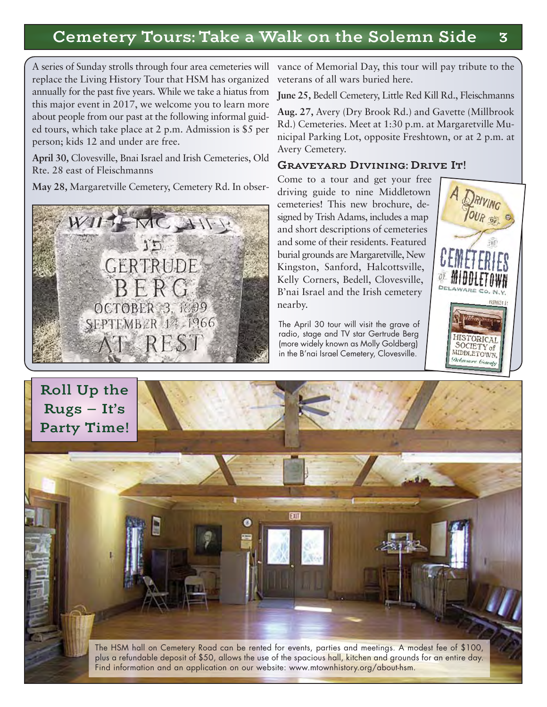# Cemetery Tours: Take a Walk on the Solemn Side 3

A series of Sunday strolls through four area cemeteries will replace the Living History Tour that HSM has organized annually for the past five years. While we take a hiatus from this major event in 2017, we welcome you to learn more about people from our past at the following informal guided tours, which take place at 2 p.m. Admission is \$5 per person; kids 12 and under are free.

**April 30,** Clovesville, Bnai Israel and Irish Cemeteries, Old Rte. 28 east of Fleischmanns

**May 28,** Margaretville Cemetery, Cemetery Rd. In obser-



vance of Memorial Day, this tour will pay tribute to the veterans of all wars buried here.

**June 25,** Bedell Cemetery, Little Red Kill Rd., Fleischmanns

**Aug. 27,** Avery (Dry Brook Rd.) and Gavette (Millbrook Rd.) Cemeteries. Meet at 1:30 p.m. at Margaretville Municipal Parking Lot, opposite Freshtown, or at 2 p.m. at Avery Cemetery.

#### Graveyard Divining: Drive It!

Come to a tour and get your free driving guide to nine Middletown cemeteries! This new brochure, designed by Trish Adams, includes a map and short descriptions of cemeteries and some of their residents. Featured burial grounds are Margaretville, New Kingston, Sanford, Halcottsville, Kelly Corners, Bedell, Clovesville, B'nai Israel and the Irish cemetery nearby.

The April 30 tour will visit the grave of radio, stage and TV star Gertrude Berg (more widely known as Molly Goldberg) in the B'nai Israel Cemetery, Clovesville.



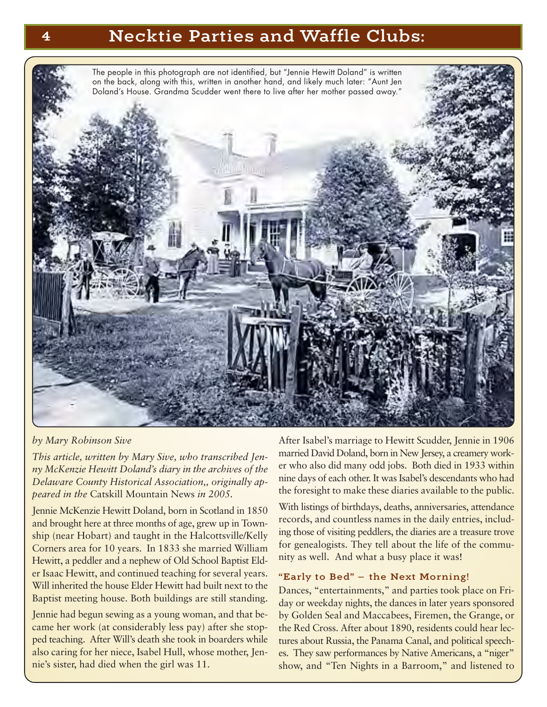### 4 Necktie Parties and Waffle Clubs:



#### *by Mary Robinson Sive*

*This article, written by Mary Sive, who transcribed Jenny McKenzie Hewitt Doland's diary in the archives of the Delaware County Historical Association,, originally appeared in the* Catskill Mountain News *in 2005.* 

Jennie McKenzie Hewitt Doland, born in Scotland in 1850 and brought here at three months of age, grew up in Township (near Hobart) and taught in the Halcottsville/Kelly Corners area for 10 years. In 1833 she married William Hewitt, a peddler and a nephew of Old School Baptist Elder Isaac Hewitt, and continued teaching for several years. Will inherited the house Elder Hewitt had built next to the Baptist meeting house. Both buildings are still standing.

Jennie had begun sewing as a young woman, and that became her work (at considerably less pay) after she stopped teaching. After Will's death she took in boarders while also caring for her niece, Isabel Hull, whose mother, Jennie's sister, had died when the girl was 11.

After Isabel's marriage to Hewitt Scudder, Jennie in 1906 married David Doland, born in New Jersey, a creamery worker who also did many odd jobs. Both died in 1933 within nine days of each other. It was Isabel's descendants who had the foresight to make these diaries available to the public.

With listings of birthdays, deaths, anniversaries, attendance records, and countless names in the daily entries, including those of visiting peddlers, the diaries are a treasure trove for genealogists. They tell about the life of the community as well. And what a busy place it was!

#### "Early to Bed" — the Next Morning!

Dances, "entertainments," and parties took place on Friday or weekday nights, the dances in later years sponsored by Golden Seal and Maccabees, Firemen, the Grange, or the Red Cross. After about 1890, residents could hear lectures about Russia, the Panama Canal, and political speeches. They saw performances by Native Americans, a "niger" show, and "Ten Nights in a Barroom," and listened to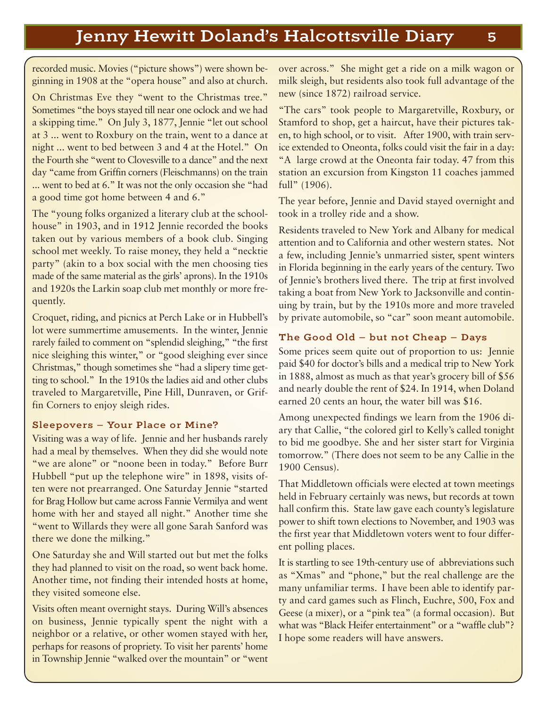recorded music. Movies ("picture shows") were shown beginning in 1908 at the "opera house" and also at church.

On Christmas Eve they "went to the Christmas tree." Sometimes "the boys stayed till near one oclock and we had a skipping time." On July 3, 1877, Jennie "let out school at 3 ... went to Roxbury on the train, went to a dance at night ... went to bed between 3 and 4 at the Hotel." On the Fourth she "went to Clovesville to a dance" and the next day "came from Griffin corners (Fleischmanns) on the train ... went to bed at 6." It was not the only occasion she "had a good time got home between 4 and 6."

The "young folks organized a literary club at the schoolhouse" in 1903, and in 1912 Jennie recorded the books taken out by various members of a book club. Singing school met weekly. To raise money, they held a "necktie party" (akin to a box social with the men choosing ties made of the same material as the girls' aprons). In the 1910s and 1920s the Larkin soap club met monthly or more frequently.

Croquet, riding, and picnics at Perch Lake or in Hubbell's lot were summertime amusements. In the winter, Jennie rarely failed to comment on "splendid sleighing," "the first nice sleighing this winter," or "good sleighing ever since Christmas," though sometimes she "had a slipery time getting to school." In the 1910s the ladies aid and other clubs traveled to Margaretville, Pine Hill, Dunraven, or Griffin Corners to enjoy sleigh rides.

#### Sleepovers — Your Place or Mine?

Visiting was a way of life. Jennie and her husbands rarely had a meal by themselves. When they did she would note "we are alone" or "noone been in today." Before Burr Hubbell "put up the telephone wire" in 1898, visits often were not prearranged. One Saturday Jennie "started for Brag Hollow but came across Fannie Vermilya and went home with her and stayed all night." Another time she "went to Willards they were all gone Sarah Sanford was there we done the milking."

One Saturday she and Will started out but met the folks they had planned to visit on the road, so went back home. Another time, not finding their intended hosts at home, they visited someone else.

Visits often meant overnight stays. During Will's absences on business, Jennie typically spent the night with a neighbor or a relative, or other women stayed with her, perhaps for reasons of propriety. To visit her parents' home in Township Jennie "walked over the mountain" or "went over across." She might get a ride on a milk wagon or milk sleigh, but residents also took full advantage of the new (since 1872) railroad service.

"The cars" took people to Margaretville, Roxbury, or Stamford to shop, get a haircut, have their pictures taken, to high school, or to visit. After 1900, with train service extended to Oneonta, folks could visit the fair in a day: "A large crowd at the Oneonta fair today. 47 from this station an excursion from Kingston 11 coaches jammed full" (1906).

The year before, Jennie and David stayed overnight and took in a trolley ride and a show.

Residents traveled to New York and Albany for medical attention and to California and other western states. Not a few, including Jennie's unmarried sister, spent winters in Florida beginning in the early years of the century. Two of Jennie's brothers lived there. The trip at first involved taking a boat from New York to Jacksonville and continuing by train, but by the 1910s more and more traveled by private automobile, so "car" soon meant automobile.

#### The Good Old — but not Cheap — Days

Some prices seem quite out of proportion to us: Jennie paid \$40 for doctor's bills and a medical trip to New York in 1888, almost as much as that year's grocery bill of \$56 and nearly double the rent of \$24. In 1914, when Doland earned 20 cents an hour, the water bill was \$16.

Among unexpected findings we learn from the 1906 diary that Callie, "the colored girl to Kelly's called tonight to bid me goodbye. She and her sister start for Virginia tomorrow." (There does not seem to be any Callie in the 1900 Census).

That Middletown officials were elected at town meetings held in February certainly was news, but records at town hall confirm this. State law gave each county's legislature power to shift town elections to November, and 1903 was the first year that Middletown voters went to four different polling places.

It is startling to see 19th-century use of abbreviations such as "Xmas" and "phone," but the real challenge are the many unfamiliar terms. I have been able to identify party and card games such as Flinch, Euchre, 500, Fox and Geese (a mixer), or a "pink tea" (a formal occasion). But what was "Black Heifer entertainment" or a "waffle club"? I hope some readers will have answers.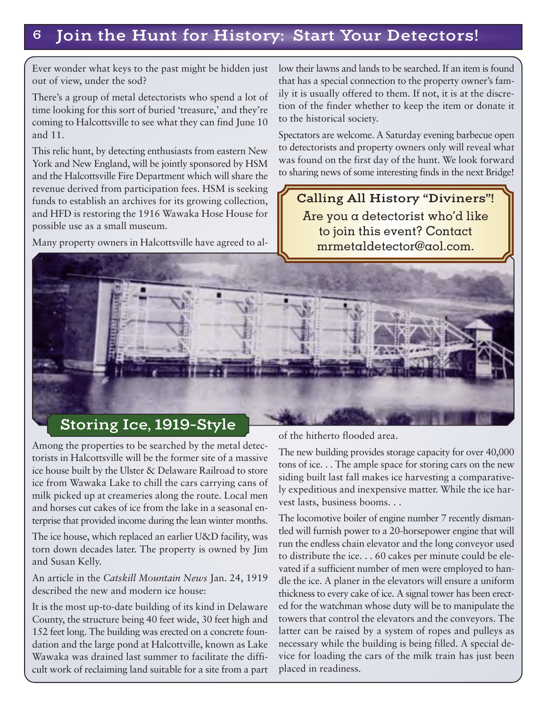# 6 Join the Hunt for History: Start Your Detectors!

Ever wonder what keys to the past might be hidden just out of view, under the sod?

There's a group of metal detectorists who spend a lot of time looking for this sort of buried 'treasure,' and they're coming to Halcottsville to see what they can find June 10 and 11.

This relic hunt, by detecting enthusiasts from eastern New York and New England, will be jointly sponsored by HSM and the Halcottsville Fire Department which will share the revenue derived from participation fees. HSM is seeking funds to establish an archives for its growing collection, and HFD is restoring the 1916 Wawaka Hose House for possible use as a small museum.

Many property owners in Halcottsville have agreed to al-

low their lawns and lands to be searched. If an item is found that has a special connection to the property owner's family it is usually offered to them. If not, it is at the discretion of the finder whether to keep the item or donate it to the historical society.

Spectators are welcome. A Saturday evening barbecue open to detectorists and property owners only will reveal what was found on the first day of the hunt. We look forward to sharing news of some interesting finds in the next Bridge!

Calling All History "Diviners"! Are you a detectorist who'd like to join this event? Contact mrmetaldetector@aol.com.

### Storing Ice, 1919-Style

Among the properties to be searched by the metal detectorists in Halcottsville will be the former site of a massive ice house built by the Ulster & Delaware Railroad to store ice from Wawaka Lake to chill the cars carrying cans of milk picked up at creameries along the route. Local men and horses cut cakes of ice from the lake in a seasonal enterprise that provided income during the lean winter months.

The ice house, which replaced an earlier U&D facility, was torn down decades later. The property is owned by Jim and Susan Kelly.

An article in the *Catskill Mountain News* Jan. 24, 1919 described the new and modern ice house:

It is the most up-to-date building of its kind in Delaware County, the structure being 40 feet wide, 30 feet high and 152 feet long. The building was erected on a concrete foundation and the large pond at Halcottville, known as Lake Wawaka was drained last summer to facilitate the difficult work of reclaiming land suitable for a site from a part of the hitherto flooded area.

The new building provides storage capacity for over 40,000 tons of ice. . . The ample space for storing cars on the new siding built last fall makes ice harvesting a comparatively expeditious and inexpensive matter. While the ice harvest lasts, business booms. . .

The locomotive boiler of engine number 7 recently dismantled will furnish power to a 20-horsepower engine that will run the endless chain elevator and the long conveyor used to distribute the ice. . . 60 cakes per minute could be elevated if a sufficient number of men were employed to handle the ice. A planer in the elevators will ensure a uniform thickness to every cake of ice. A signal tower has been erected for the watchman whose duty will be to manipulate the towers that control the elevators and the conveyors. The latter can be raised by a system of ropes and pulleys as necessary while the building is being filled. A special device for loading the cars of the milk train has just been placed in readiness.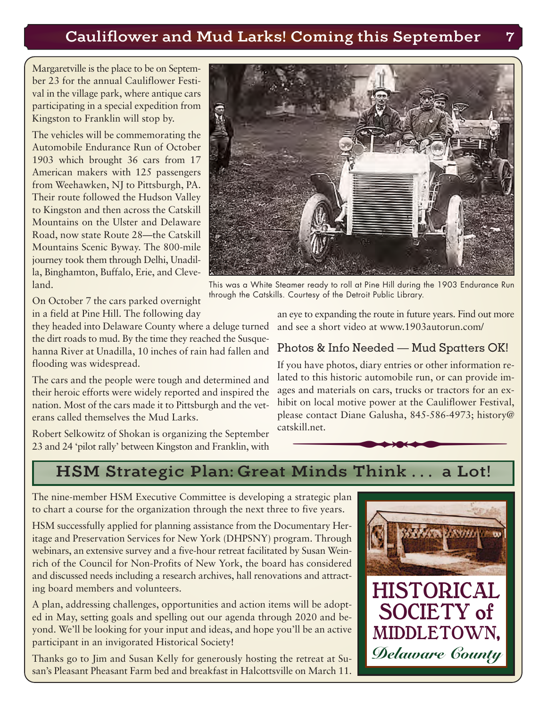# Cauliflower and Mud Larks! Coming this September 7

Margaretville is the place to be on September 23 for the annual Cauliflower Festival in the village park, where antique cars participating in a special expedition from Kingston to Franklin will stop by.

The vehicles will be commemorating the Automobile Endurance Run of October 1903 which brought 36 cars from 17 American makers with 125 passengers from Weehawken, NJ to Pittsburgh, PA. Their route followed the Hudson Valley to Kingston and then across the Catskill Mountains on the Ulster and Delaware Road, now state Route 28—the Catskill Mountains Scenic Byway. The 800-mile journey took them through Delhi, Unadilla, Binghamton, Buffalo, Erie, and Cleveland.

This was a White Steamer ready to roll at Pine Hill during the 1903 Endurance Run through the Catskills. Courtesy of the Detroit Public Library.

On October 7 the cars parked overnight in a field at Pine Hill. The following day

they headed into Delaware County where a deluge turned and see a short video at www.1903autorun.com/ the dirt roads to mud. By the time they reached the Susquehanna River at Unadilla, 10 inches of rain had fallen and flooding was widespread.

The cars and the people were tough and determined and their heroic efforts were widely reported and inspired the nation. Most of the cars made it to Pittsburgh and the veterans called themselves the Mud Larks.

Robert Selkowitz of Shokan is organizing the September 23 and 24 'pilot rally' between Kingston and Franklin, with

an eye to expanding the route in future years. Find out more

#### Photos & Info Needed — Mud Spatters OK!

mer ready to roll at Pine Hill during the 1903 Endurance Rur<br>Courtesy of the Detroit Public Library.<br>eye to expanding the route in future years. Find out more<br>d see a short video at www.1903autorun.com/<br>notos & Info Needed If you have photos, diary entries or other information related to this historic automobile run, or can provide images and materials on cars, trucks or tractors for an exhibit on local motive power at the Cauliflower Festival, please contact Diane Galusha, 845-586-4973; history@ catskill.net.

# HSM Strategic Plan: Great Minds Think . . . a Lot!

The nine-member HSM Executive Committee is developing a strategic plan to chart a course for the organization through the next three to five years.

HSM successfully applied for planning assistance from the Documentary Heritage and Preservation Services for New York (DHPSNY) program. Through webinars, an extensive survey and a five-hour retreat facilitated by Susan Weinrich of the Council for Non-Profits of New York, the board has considered and discussed needs including a research archives, hall renovations and attracting board members and volunteers.

A plan, addressing challenges, opportunities and action items will be adopted in May, setting goals and spelling out our agenda through 2020 and beyond. We'll be looking for your input and ideas, and hope you'll be an active participant in an invigorated Historical Society!

Thanks go to Jim and Susan Kelly for generously hosting the retreat at Susan's Pleasant Pheasant Farm bed and breakfast in Halcottsville on March 11.



HISTORICAL SOCIETY of MIDDLETOWN, *Delaware County*